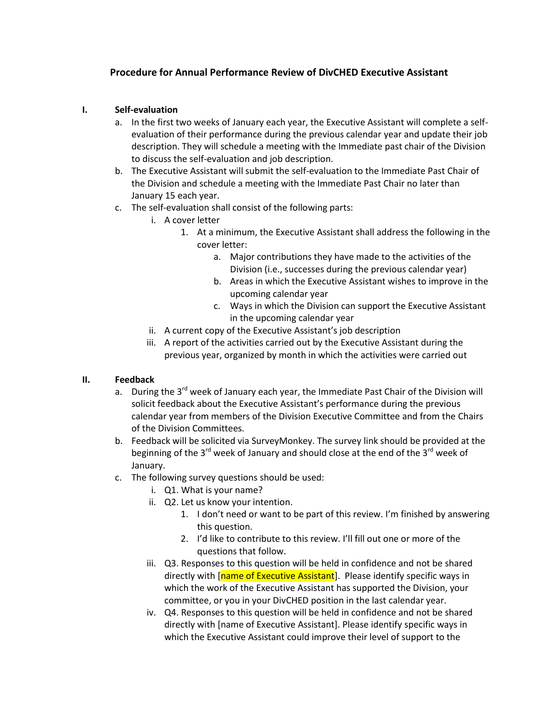## **Procedure for Annual Performance Review of DivCHED Executive Assistant**

#### **I. Self-evaluation**

- a. In the first two weeks of January each year, the Executive Assistant will complete a selfevaluation of their performance during the previous calendar year and update their job description. They will schedule a meeting with the Immediate past chair of the Division to discuss the self-evaluation and job description.
- b. The Executive Assistant will submit the self-evaluation to the Immediate Past Chair of the Division and schedule a meeting with the Immediate Past Chair no later than January 15 each year.
- c. The self-evaluation shall consist of the following parts:
	- i. A cover letter
		- 1. At a minimum, the Executive Assistant shall address the following in the cover letter:
			- a. Major contributions they have made to the activities of the Division (i.e., successes during the previous calendar year)
			- b. Areas in which the Executive Assistant wishes to improve in the upcoming calendar year
			- c. Ways in which the Division can support the Executive Assistant in the upcoming calendar year
	- ii. A current copy of the Executive Assistant's job description
	- iii. A report of the activities carried out by the Executive Assistant during the previous year, organized by month in which the activities were carried out

### **II. Feedback**

- a. During the 3<sup>rd</sup> week of January each year, the Immediate Past Chair of the Division will solicit feedback about the Executive Assistant's performance during the previous calendar year from members of the Division Executive Committee and from the Chairs of the Division Committees.
- b. Feedback will be solicited via SurveyMonkey. The survey link should be provided at the beginning of the 3<sup>rd</sup> week of January and should close at the end of the 3<sup>rd</sup> week of January.
- c. The following survey questions should be used:
	- i. Q1. What is your name?
	- ii. Q2. Let us know your intention.
		- 1. I don't need or want to be part of this review. I'm finished by answering this question.
		- 2. I'd like to contribute to this review. I'll fill out one or more of the questions that follow.
	- iii. Q3. Responses to this question will be held in confidence and not be shared directly with [name of Executive Assistant]. Please identify specific ways in which the work of the Executive Assistant has supported the Division, your committee, or you in your DivCHED position in the last calendar year.
	- iv. Q4. Responses to this question will be held in confidence and not be shared directly with [name of Executive Assistant]. Please identify specific ways in which the Executive Assistant could improve their level of support to the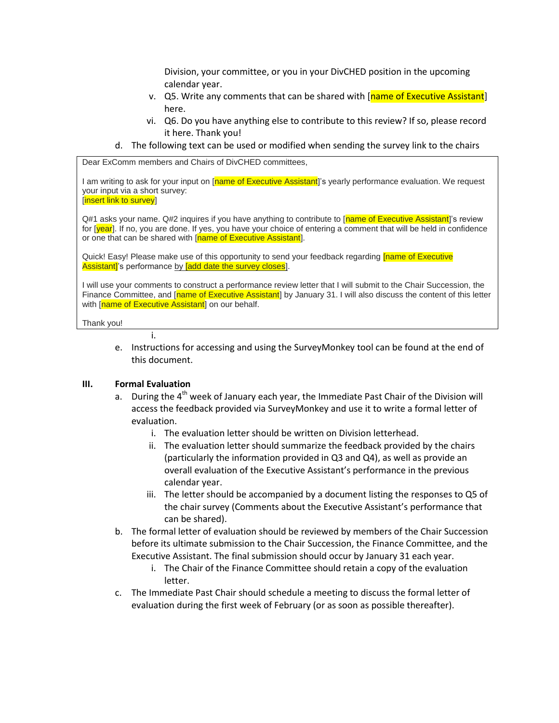Division, your committee, or you in your DivCHED position in the upcoming calendar year.

- v. Q5. Write any comments that can be shared with [name of Executive Assistant] here.
- vi. Q6. Do you have anything else to contribute to this review? If so, please record it here. Thank you!
- d. The following text can be used or modified when sending the survey link to the chairs

Dear ExComm members and Chairs of DivCHED committees,

I am writing to ask for your input on [name of Executive Assistant]'s yearly performance evaluation. We request your input via a short survey: [insert link to survey]

Q#1 asks your name. Q#2 inquires if you have anything to contribute to [name of Executive Assistant]'s review for [year]. If no, you are done. If yes, you have your choice of entering a comment that will be held in confidence or one that can be shared with [name of Executive Assistant].

Quick! Easy! Please make use of this opportunity to send your feedback regarding *[name of Executive* Assistant]'s performance by **[add date the survey closes**].

I will use your comments to construct a performance review letter that I will submit to the Chair Succession, the Finance Committee, and [name of Executive Assistant] by January 31. I will also discuss the content of this letter with [name of Executive Assistant] on our behalf.

Thank you!

e. Instructions for accessing and using the SurveyMonkey tool can be found at the end of this document.

#### **III. Formal Evaluation**

i.

- a. During the 4<sup>th</sup> week of January each year, the Immediate Past Chair of the Division will access the feedback provided via SurveyMonkey and use it to write a formal letter of evaluation.
	- i. The evaluation letter should be written on Division letterhead.
	- ii. The evaluation letter should summarize the feedback provided by the chairs (particularly the information provided in Q3 and Q4), as well as provide an overall evaluation of the Executive Assistant's performance in the previous calendar year.
	- iii. The letter should be accompanied by a document listing the responses to Q5 of the chair survey (Comments about the Executive Assistant's performance that can be shared).
- b. The formal letter of evaluation should be reviewed by members of the Chair Succession before its ultimate submission to the Chair Succession, the Finance Committee, and the Executive Assistant. The final submission should occur by January 31 each year.
	- i. The Chair of the Finance Committee should retain a copy of the evaluation letter.
- c. The Immediate Past Chair should schedule a meeting to discuss the formal letter of evaluation during the first week of February (or as soon as possible thereafter).